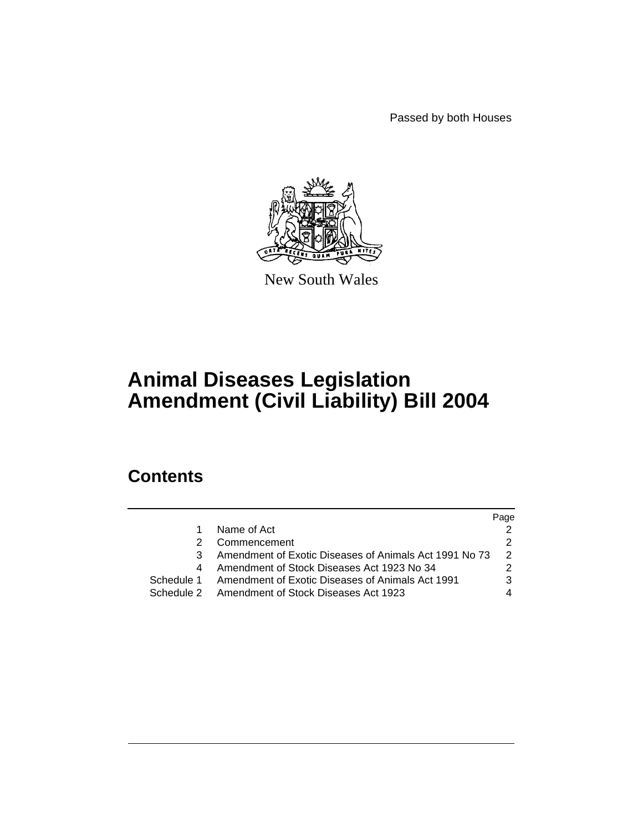Passed by both Houses



New South Wales

# **Animal Diseases Legislation Amendment (Civil Liability) Bill 2004**

## **Contents**

|            |                                                        | Page |
|------------|--------------------------------------------------------|------|
| 1          | Name of Act                                            |      |
| 2          | Commencement                                           |      |
| 3          | Amendment of Exotic Diseases of Animals Act 1991 No 73 | 2    |
| 4          | Amendment of Stock Diseases Act 1923 No 34             |      |
| Schedule 1 | Amendment of Exotic Diseases of Animals Act 1991       | 3    |
|            | Schedule 2 Amendment of Stock Diseases Act 1923        |      |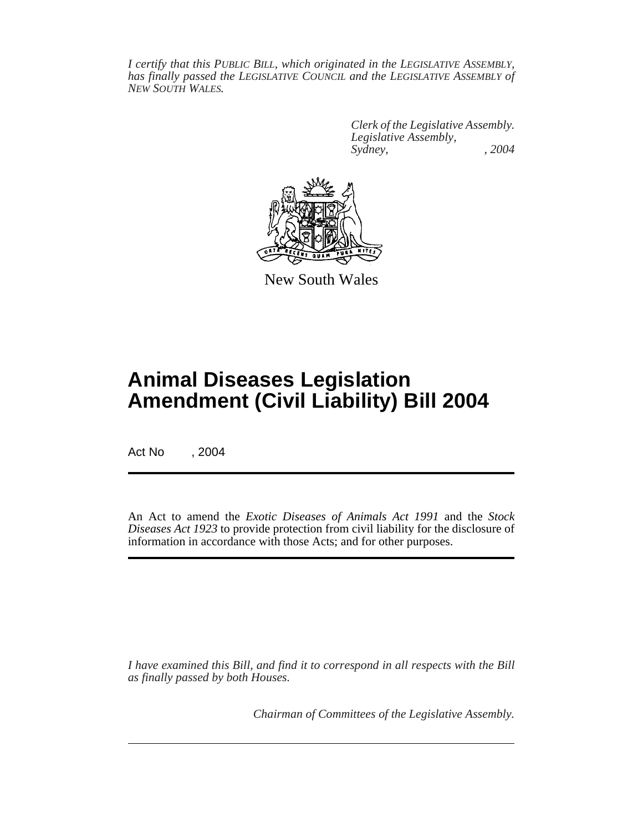*I certify that this PUBLIC BILL, which originated in the LEGISLATIVE ASSEMBLY, has finally passed the LEGISLATIVE COUNCIL and the LEGISLATIVE ASSEMBLY of NEW SOUTH WALES.*

> *Clerk of the Legislative Assembly. Legislative Assembly, Sydney, , 2004*



New South Wales

## **Animal Diseases Legislation Amendment (Civil Liability) Bill 2004**

Act No , 2004

An Act to amend the *Exotic Diseases of Animals Act 1991* and the *Stock Diseases Act 1923* to provide protection from civil liability for the disclosure of information in accordance with those Acts; and for other purposes.

*I have examined this Bill, and find it to correspond in all respects with the Bill as finally passed by both Houses.*

*Chairman of Committees of the Legislative Assembly.*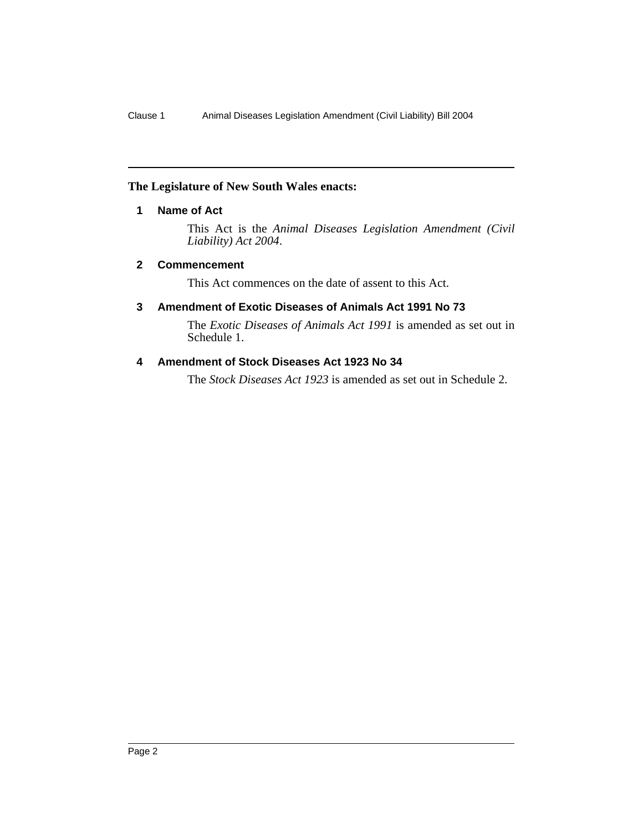## **The Legislature of New South Wales enacts:**

## **1 Name of Act**

This Act is the *Animal Diseases Legislation Amendment (Civil Liability) Act 2004*.

## **2 Commencement**

This Act commences on the date of assent to this Act.

## **3 Amendment of Exotic Diseases of Animals Act 1991 No 73**

The *Exotic Diseases of Animals Act 1991* is amended as set out in Schedule 1.

## **4 Amendment of Stock Diseases Act 1923 No 34**

The *Stock Diseases Act 1923* is amended as set out in Schedule 2.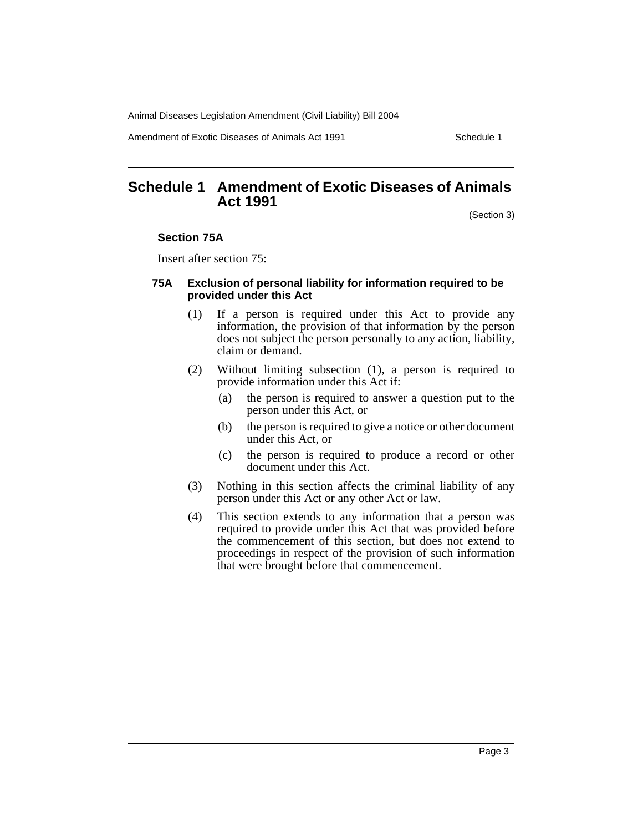Animal Diseases Legislation Amendment (Civil Liability) Bill 2004

Amendment of Exotic Diseases of Animals Act 1991 Schedule 1

## **Schedule 1 Amendment of Exotic Diseases of Animals Act 1991**

(Section 3)

### **Section 75A**

Insert after section 75:

### **75A Exclusion of personal liability for information required to be provided under this Act**

- (1) If a person is required under this Act to provide any information, the provision of that information by the person does not subject the person personally to any action, liability, claim or demand.
- (2) Without limiting subsection (1), a person is required to provide information under this Act if:
	- (a) the person is required to answer a question put to the person under this Act, or
	- (b) the person is required to give a notice or other document under this Act, or
	- (c) the person is required to produce a record or other document under this Act.
- (3) Nothing in this section affects the criminal liability of any person under this Act or any other Act or law.
- (4) This section extends to any information that a person was required to provide under this Act that was provided before the commencement of this section, but does not extend to proceedings in respect of the provision of such information that were brought before that commencement.